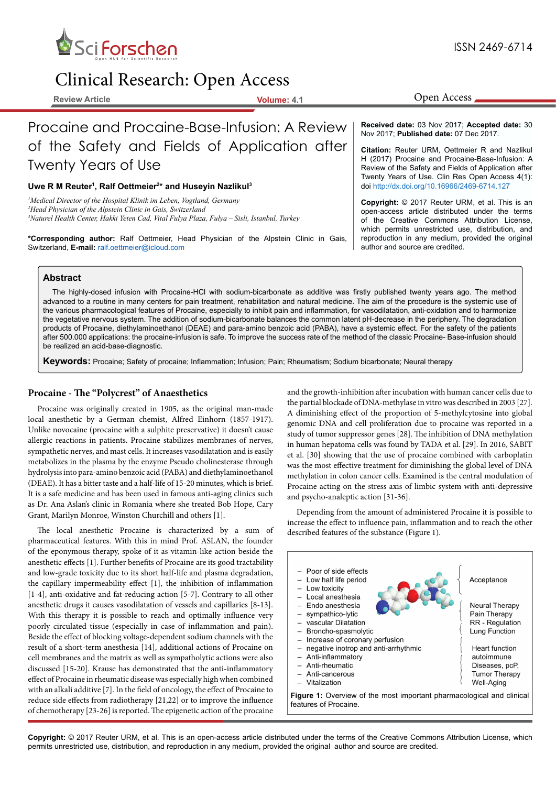

# Clinical Research: Open Access

**Review Article Volume: 4.1**

Procaine and Procaine-Base-Infusion: A Review of the Safety and Fields of Application after **Received date:** 03 Nov 2017; **Accepted date:** 30 Nov 2017; **Published date:** 07 Dec 2017.

# Twenty Years of Use

# Uwe R M Reuter<sup>1</sup>, Ralf Oettmeier<sup>2\*</sup> and Huseyin Nazlikul<sup>3</sup>

*1 Medical Director of the Hospital Klinik im Leben, Vogtland, Germany 2 Head Physician of the Alpstein Clinic in Gais, Switzerland 3 Naturel Health Center, Hakki Yeten Cad, Vital Fulya Plaza, Fulya – Sisli, Istanbul, Turkey*

**\*Corresponding author:** Ralf Oettmeier, Head Physician of the Alpstein Clinic in Gais, Switzerland, **E-mail:** ralf.oettmeier@icloud.com

#### **Citation:** Reuter URM, Oettmeier R and Nazlikul H (2017) Procaine and Procaine-Base-Infusion: A Review of the Safety and Fields of Application after

Twenty Years of Use. Clin Res Open Access 4(1): doi <http://dx.doi.org/10.16966/2469-6714.127>

**Copyright:** © 2017 Reuter URM, et al. This is an open-access article distributed under the terms of the Creative Commons Attribution License, which permits unrestricted use, distribution, and reproduction in any medium, provided the original author and source are credited.

#### **Abstract**

The highly-dosed infusion with Procaine-HCl with sodium-bicarbonate as additive was firstly published twenty years ago. The method advanced to a routine in many centers for pain treatment, rehabilitation and natural medicine. The aim of the procedure is the systemic use of the various pharmacological features of Procaine, especially to inhibit pain and inflammation, for vasodilatation, anti-oxidation and to harmonize the vegetative nervous system. The addition of sodium-bicarbonate balances the common latent pH-decrease in the periphery. The degradation products of Procaine, diethylaminoethanol (DEAE) and para-amino benzoic acid (PABA), have a systemic effect. For the safety of the patients after 500.000 applications: the procaine-infusion is safe. To improve the success rate of the method of the classic Procaine- Base-infusion should be realized an acid-base-diagnostic.

**Keywords:** Procaine; Safety of procaine; Inflammation; Infusion; Pain; Rheumatism; Sodium bicarbonate; Neural therapy

# **Procaine - The "Polycrest" of Anaesthetics**

Procaine was originally created in 1905, as the original man-made local anesthetic by a German chemist, Alfred Einhorn (1857-1917). Unlike novocaine (procaine with a sulphite preservative) it doesn't cause allergic reactions in patients. Procaine stabilizes membranes of nerves, sympathetic nerves, and mast cells. It increases vasodilatation and is easily metabolizes in the plasma by the enzyme Pseudo cholinesterase through hydrolysis into para-amino benzoic acid (PABA) and diethylaminoethanol (DEAE). It has a bitter taste and a half-life of 15-20 minutes, which is brief. It is a safe medicine and has been used in famous anti-aging clinics such as Dr. Ana Aslan's clinic in Romania where she treated Bob Hope, Cary Grant, Marilyn Monroe, Winston Churchill and others [1].

The local anesthetic Procaine is characterized by a sum of pharmaceutical features. With this in mind Prof. ASLAN, the founder of the eponymous therapy, spoke of it as vitamin-like action beside the anesthetic effects [1]. Further benefits of Procaine are its good tractability and low-grade toxicity due to its short half-life and plasma degradation, the capillary impermeability effect [1], the inhibition of inflammation [1-4], anti-oxidative and fat-reducing action [5-7]. Contrary to all other anesthetic drugs it causes vasodilatation of vessels and capillaries [8-13]. With this therapy it is possible to reach and optimally influence very poorly circulated tissue (especially in case of inflammation and pain). Beside the effect of blocking voltage-dependent sodium channels with the result of a short-term anesthesia [14], additional actions of Procaine on cell membranes and the matrix as well as sympatholytic actions were also discussed [15-20]. Krause has demonstrated that the anti-inflammatory effect of Procaine in rheumatic disease was especially high when combined with an alkali additive [7]. In the field of oncology, the effect of Procaine to reduce side effects from radiotherapy [21,22] or to improve the influence of chemotherapy [23-26] is reported. The epigenetic action of the procaine

and the growth-inhibition after incubation with human cancer cells due to the partial blockade of DNA-methylase in vitro was described in 2003 [27]. A diminishing effect of the proportion of 5-methylcytosine into global genomic DNA and cell proliferation due to procaine was reported in a study of tumor suppressor genes [28]. The inhibition of DNA methylation in human hepatoma cells was found by TADA et al. [29]. In 2016, SABIT et al. [30] showing that the use of procaine combined with carboplatin was the most effective treatment for diminishing the global level of DNA methylation in colon cancer cells. Examined is the central modulation of Procaine acting on the stress axis of limbic system with anti-depressive and psycho-analeptic action [31-36].

Depending from the amount of administered Procaine it is possible to increase the effect to influence pain, inflammation and to reach the other described features of the substance (Figure 1).



ISSN 2469-6714

Open Access

**Copyright:** © 2017 Reuter URM, et al. This is an open-access article distributed under the terms of the Creative Commons Attribution License, which permits unrestricted use, distribution, and reproduction in any medium, provided the original author and source are credited.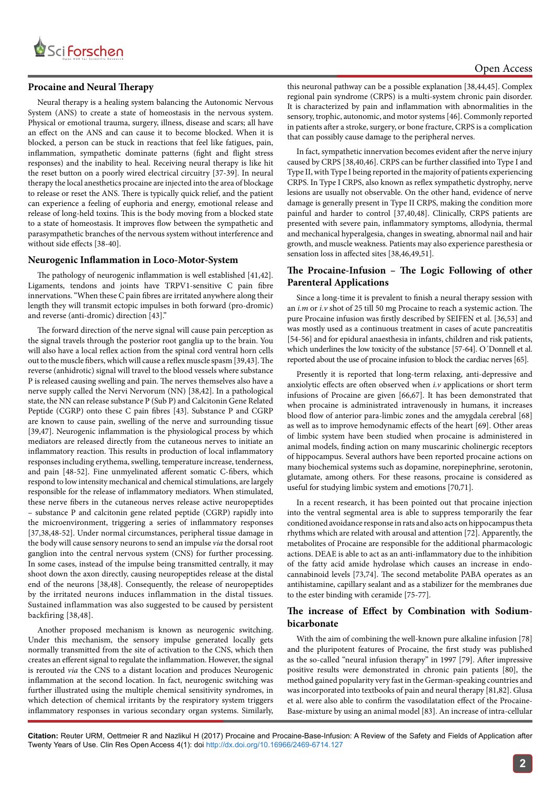

#### **Procaine and Neural Therapy**

Neural therapy is a healing system balancing the Autonomic Nervous System (ANS) to create a state of homeostasis in the nervous system. Physical or emotional trauma, surgery, illness, disease and scars; all have an effect on the ANS and can cause it to become blocked. When it is blocked, a person can be stuck in reactions that feel like fatigues, pain, inflammation, sympathetic dominate patterns (fight and flight stress responses) and the inability to heal. Receiving neural therapy is like hit the reset button on a poorly wired electrical circuitry [37-39]. In neural therapy the local anesthetics procaine are injected into the area of blockage to release or reset the ANS. There is typically quick relief, and the patient can experience a feeling of euphoria and energy, emotional release and release of long-held toxins. This is the body moving from a blocked state to a state of homeostasis. It improves flow between the sympathetic and parasympathetic branches of the nervous system without interference and without side effects [38-40].

#### **Neurogenic Inflammation in Loco-Motor-System**

The pathology of neurogenic inflammation is well established [41,42]. Ligaments, tendons and joints have TRPV1-sensitive C pain fibre innervations. "When these C pain fibres are irritated anywhere along their length they will transmit ectopic impulses in both forward (pro-dromic) and reverse (anti-dromic) direction [43]."

The forward direction of the nerve signal will cause pain perception as the signal travels through the posterior root ganglia up to the brain. You will also have a local reflex action from the spinal cord ventral horn cells out to the muscle fibers, which will cause a reflex muscle spasm [39,43]. The reverse (anhidrotic) signal will travel to the blood vessels where substance P is released causing swelling and pain. The nerves themselves also have a nerve supply called the Nervi Nervorum (NN) [38,42]. In a pathological state, the NN can release substance P (Sub P) and Calcitonin Gene Related Peptide (CGRP) onto these C pain fibres [43]. Substance P and CGRP are known to cause pain, swelling of the nerve and surrounding tissue [39,47]. Neurogenic inflammation is the physiological process by which mediators are released directly from the cutaneous nerves to initiate an inflammatory reaction. This results in production of local inflammatory responses including erythema, swelling, temperature increase, tenderness, and pain [48-52]. Fine unmyelinated afferent somatic C-fibers, which respond to low intensity mechanical and chemical stimulations, are largely responsible for the release of inflammatory mediators. When stimulated, these nerve fibers in the cutaneous nerves release active neuropeptides – substance P and calcitonin gene related peptide (CGRP) rapidly into the microenvironment, triggering a series of inflammatory responses [37,38,48-52]. Under normal circumstances, peripheral tissue damage in the body will cause sensory neurons to send an impulse *via* the dorsal root ganglion into the central nervous system (CNS) for further processing. In some cases, instead of the impulse being transmitted centrally, it may shoot down the axon directly, causing neuropeptides release at the distal end of the neurons [38,48]. Consequently, the release of neuropeptides by the irritated neurons induces inflammation in the distal tissues. Sustained inflammation was also suggested to be caused by persistent backfiring [38,48].

Another proposed mechanism is known as neurogenic switching. Under this mechanism, the sensory impulse generated locally gets normally transmitted from the site of activation to the CNS, which then creates an efferent signal to regulate the inflammation. However, the signal is rerouted *via* the CNS to a distant location and produces Neurogenic inflammation at the second location. In fact, neurogenic switching was further illustrated using the multiple chemical sensitivity syndromes, in which detection of chemical irritants by the respiratory system triggers inflammatory responses in various secondary organ systems. Similarly, this neuronal pathway can be a possible explanation [38,44,45]. Complex regional pain syndrome (CRPS) is a multi-system chronic pain disorder. It is characterized by pain and inflammation with abnormalities in the sensory, trophic, autonomic, and motor systems [46]. Commonly reported in patients after a stroke, surgery, or bone fracture, CRPS is a complication that can possibly cause damage to the peripheral nerves.

In fact, sympathetic innervation becomes evident after the nerve injury caused by CRPS [38,40,46]. CRPS can be further classified into Type I and Type II, with Type I being reported in the majority of patients experiencing CRPS. In Type I CRPS, also known as reflex sympathetic dystrophy, nerve lesions are usually not observable. On the other hand, evidence of nerve damage is generally present in Type II CRPS, making the condition more painful and harder to control [37,40,48]. Clinically, CRPS patients are presented with severe pain, inflammatory symptoms, allodynia, thermal and mechanical hyperalgesia, changes in sweating, abnormal nail and hair growth, and muscle weakness. Patients may also experience paresthesia or sensation loss in affected sites [38,46,49,51].

# **The Procaine-Infusion – The Logic Following of other Parenteral Applications**

Since a long-time it is prevalent to finish a neural therapy session with an *i.m* or *i.v* shot of 25 till 50 mg Procaine to reach a systemic action. The pure Procaine infusion was firstly described by SEIFEN et al. [36,53] and was mostly used as a continuous treatment in cases of acute pancreatitis [54-56] and for epidural anaesthesia in infants, children and risk patients, which underlines the low toxicity of the substance [57-64]. O´Donnell et al. reported about the use of procaine infusion to block the cardiac nerves [65].

Presently it is reported that long-term relaxing, anti-depressive and anxiolytic effects are often observed when *i.v* applications or short term infusions of Procaine are given [66,67]. It has been demonstrated that when procaine is administrated intravenously in humans, it increases blood flow of anterior para-limbic zones and the amygdala cerebral [68] as well as to improve hemodynamic effects of the heart [69]. Other areas of limbic system have been studied when procaine is administered in animal models, finding action on many muscarinic cholinergic receptors of hippocampus. Several authors have been reported procaine actions on many biochemical systems such as dopamine, norepinephrine, serotonin, glutamate, among others. For these reasons, procaine is considered as useful for studying limbic system and emotions [70,71].

In a recent research, it has been pointed out that procaine injection into the ventral segmental area is able to suppress temporarily the fear conditioned avoidance response in rats and also acts on hippocampus theta rhythms which are related with arousal and attention [72]. Apparently, the metabolites of Procaine are responsible for the additional pharmacologic actions. DEAE is able to act as an anti-inflammatory due to the inhibition of the fatty acid amide hydrolase which causes an increase in endocannabinoid levels [73,74]. The second metabolite PABA operates as an antihistamine, capillary sealant and as a stabilizer for the membranes due to the ester binding with ceramide [75-77].

# **The increase of Effect by Combination with Sodiumbicarbonate**

With the aim of combining the well-known pure alkaline infusion [78] and the pluripotent features of Procaine, the first study was published as the so-called "neural infusion therapy" in 1997 [79]. After impressive positive results were demonstrated in chronic pain patients [80], the method gained popularity very fast in the German-speaking countries and was incorporated into textbooks of pain and neural therapy [81,82]. Glusa et al. were also able to confirm the vasodilatation effect of the Procaine-Base-mixture by using an animal model [83]. An increase of intra-cellular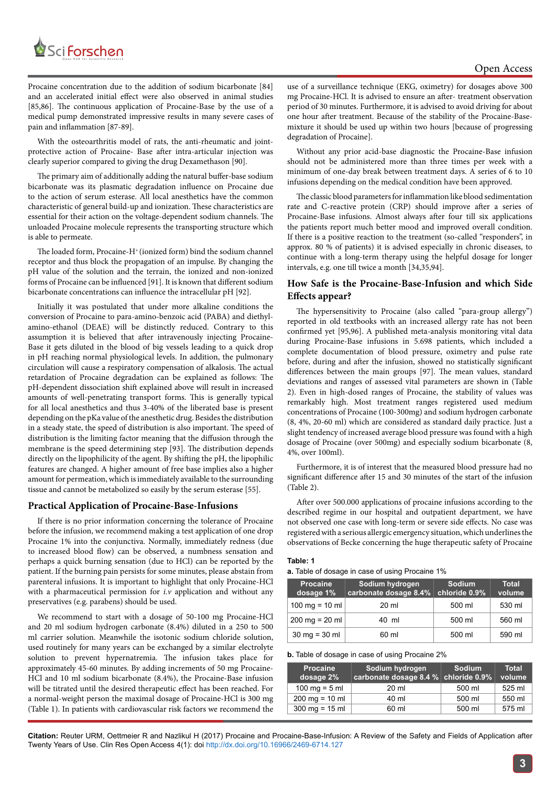

Procaine concentration due to the addition of sodium bicarbonate [84] and an accelerated initial effect were also observed in animal studies [85,86]. The continuous application of Procaine-Base by the use of a medical pump demonstrated impressive results in many severe cases of pain and inflammation [87-89].

With the osteoarthritis model of rats, the anti-rheumatic and jointprotective action of Procaine- Base after intra-articular injection was clearly superior compared to giving the drug Dexamethason [90].

The primary aim of additionally adding the natural buffer-base sodium bicarbonate was its plasmatic degradation influence on Procaine due to the action of serum esterase. All local anesthetics have the common characteristic of general build-up and ionization. These characteristics are essential for their action on the voltage-dependent sodium channels. The unloaded Procaine molecule represents the transporting structure which is able to permeate.

The loaded form, Procaine-H<sup>+</sup> (ionized form) bind the sodium channel receptor and thus block the propagation of an impulse. By changing the pH value of the solution and the terrain, the ionized and non-ionized forms of Procaine can be influenced [91]. It is known that different sodium bicarbonate concentrations can influence the intracellular pH [92].

Initially it was postulated that under more alkaline conditions the conversion of Procaine to para-amino-benzoic acid (PABA) and diethylamino-ethanol (DEAE) will be distinctly reduced. Contrary to this assumption it is believed that after intravenously injecting Procaine-Base it gets diluted in the blood of big vessels leading to a quick drop in pH reaching normal physiological levels. In addition, the pulmonary circulation will cause a respiratory compensation of alkalosis. The actual retardation of Procaine degradation can be explained as follows: The pH-dependent dissociation shift explained above will result in increased amounts of well-penetrating transport forms. This is generally typical for all local anesthetics and thus 3-40% of the liberated base is present depending on the pKa value of the anesthetic drug. Besides the distribution in a steady state, the speed of distribution is also important. The speed of distribution is the limiting factor meaning that the diffusion through the membrane is the speed determining step [93]. The distribution depends directly on the lipophilicity of the agent. By shifting the pH, the lipophilic features are changed. A higher amount of free base implies also a higher amount for permeation, which is immediately available to the surrounding tissue and cannot be metabolized so easily by the serum esterase [55].

#### **Practical Application of Procaine-Base-Infusions**

If there is no prior information concerning the tolerance of Procaine before the infusion, we recommend making a test application of one drop Procaine 1% into the conjunctiva. Normally, immediately redness (due to increased blood flow) can be observed, a numbness sensation and perhaps a quick burning sensation (due to HCl) can be reported by the patient. If the burning pain persists for some minutes, please abstain from parenteral infusions. It is important to highlight that only Procaine-HCl with a pharmaceutical permission for *i.v* application and without any preservatives (e.g. parabens) should be used.

We recommend to start with a dosage of 50-100 mg Procaine-HCl and 20 ml sodium hydrogen carbonate (8.4%) diluted in a 250 to 500 ml carrier solution. Meanwhile the isotonic sodium chloride solution, used routinely for many years can be exchanged by a similar electrolyte solution to prevent hypernatremia. The infusion takes place for approximately 45-60 minutes. By adding increments of 50 mg Procaine-HCl and 10 ml sodium bicarbonate (8.4%), the Procaine-Base infusion will be titrated until the desired therapeutic effect has been reached. For a normal-weight person the maximal dosage of Procaine-HCl is 300 mg (Table 1). In patients with cardiovascular risk factors we recommend the use of a surveillance technique (EKG, oximetry) for dosages above 300 mg Procaine-HCl. It is advised to ensure an after- treatment observation period of 30 minutes. Furthermore, it is advised to avoid driving for about one hour after treatment. Because of the stability of the Procaine-Basemixture it should be used up within two hours [because of progressing degradation of Procaine].

Without any prior acid-base diagnostic the Procaine-Base infusion should not be administered more than three times per week with a minimum of one-day break between treatment days. A series of 6 to 10 infusions depending on the medical condition have been approved.

The classic blood parameters for inflammation like blood sedimentation rate and C-reactive protein (CRP) should improve after a series of Procaine-Base infusions. Almost always after four till six applications the patients report much better mood and improved overall condition. If there is a positive reaction to the treatment (so-called "responders", in approx. 80 % of patients) it is advised especially in chronic diseases, to continue with a long-term therapy using the helpful dosage for longer intervals, e.g. one till twice a month [34,35,94].

#### **How Safe is the Procaine-Base-Infusion and which Side Effects appear?**

The hypersensitivity to Procaine (also called "para-group allergy") reported in old textbooks with an increased allergy rate has not been confirmed yet [95,96]. A published meta-analysis monitoring vital data during Procaine-Base infusions in 5.698 patients, which included a complete documentation of blood pressure, oximetry and pulse rate before, during and after the infusion, showed no statistically significant differences between the main groups [97]. The mean values, standard deviations and ranges of assessed vital parameters are shown in (Table 2). Even in high-dosed ranges of Procaine, the stability of values was remarkably high. Most treatment ranges registered used medium concentrations of Procaine (100-300mg) and sodium hydrogen carbonate (8, 4%, 20-60 ml) which are considered as standard daily practice. Just a slight tendency of increased average blood pressure was found with a high dosage of Procaine (over 500mg) and especially sodium bicarbonate (8, 4%, over 100ml).

Furthermore, it is of interest that the measured blood pressure had no significant difference after 15 and 30 minutes of the start of the infusion (Table 2).

After over 500.000 applications of procaine infusions according to the described regime in our hospital and outpatient department, we have not observed one case with long-term or severe side effects. No case was registered with a serious allergic emergency situation, which underlines the observations of Becke concerning the huge therapeutic safety of Procaine

#### **Table: 1**

#### **a.** Table of dosage in case of using Procaine 1%

| <b>Procaine</b><br>dosage 1%     | Sodium hydrogen<br>carbonate dosage 8.4% | <b>Sodium</b><br>chloride 0.9% | <b>Total</b><br>volume |
|----------------------------------|------------------------------------------|--------------------------------|------------------------|
| 100 mg = $10$ ml                 | 20 ml                                    | 500 ml                         | 530 ml                 |
| $200 \text{ ma} = 20 \text{ ml}$ | 40 ml                                    | 500 ml                         | 560 ml                 |
| $30 \text{ mg} = 30 \text{ ml}$  | 60 ml                                    | 500 ml                         | 590 ml                 |

#### **b.** Table of dosage in case of using Procaine 2%

| <b>Procaine</b><br>dosage 2%     | Sodium hydrogen<br>carbonate dosage 8.4 % chloride 0.9% | <b>Sodium</b> | <b>Total</b><br>volume |
|----------------------------------|---------------------------------------------------------|---------------|------------------------|
| 100 mg = $5$ ml                  | 20 ml                                                   | 500 ml        | 525 ml                 |
| $200 \text{ mg} = 10 \text{ ml}$ | 40 ml                                                   | 500 ml        | 550 ml                 |
| $300 \text{ mg} = 15 \text{ ml}$ | 60 ml                                                   | 500 ml        | 575 ml                 |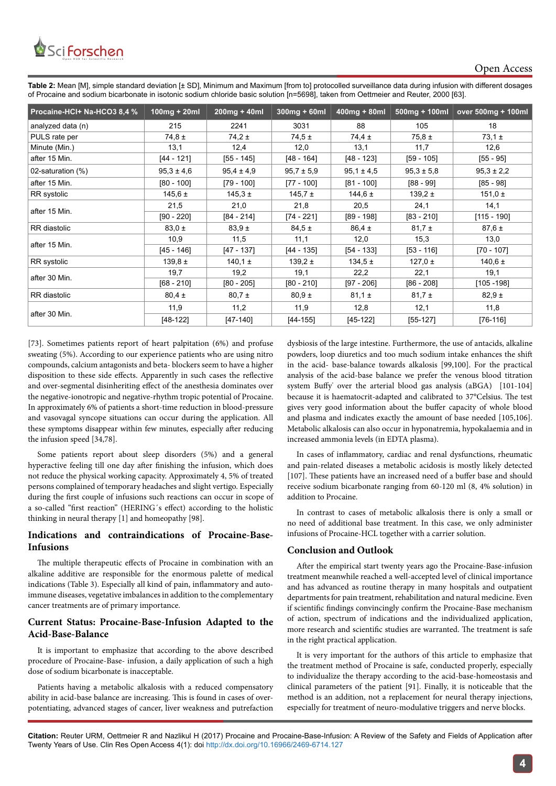

**Table 2:** Mean [M], simple standard deviation [± SD], Minimum and Maximum [from to] protocolled surveillance data during infusion with different dosages of Procaine and sodium bicarbonate in isotonic sodium chloride basic solution [n=5698], taken from Oettmeier and Reuter, 2000 [63].

| Procaine-HCl+ Na-HCO3 8,4 % | $100mg + 20ml$ | $200mg + 40ml$ | $300$ mg + 60ml | $400$ mg + 80ml | $500mg + 100ml$ | over 500mg + 100ml |
|-----------------------------|----------------|----------------|-----------------|-----------------|-----------------|--------------------|
| analyzed data (n)           | 215            | 2241           | 3031            | 88              | 105             | 18                 |
| PULS rate per               | $74.8 \pm$     | $74.2 \pm$     | $74.5 \pm$      | $74.4 \pm$      | $75.8 \pm$      | $73.1 \pm$         |
| Minute (Min.)               | 13,1           | 12,4           | 12,0            | 13,1            | 11,7            | 12.6               |
| after 15 Min.               | [44 - 121]     | $[55 - 145]$   | $[48 - 164]$    | $[48 - 123]$    | $[59 - 105]$    | $[55 - 95]$        |
| 02-saturation (%)           | $95.3 \pm 4.6$ | $95.4 \pm 4.9$ | $95.7 \pm 5.9$  | $95.1 \pm 4.5$  | $95.3 \pm 5.8$  | $95,3 \pm 2,2$     |
| after 15 Min.               | $[80 - 100]$   | $[79 - 100]$   | $[77 - 100]$    | $[81 - 100]$    | $[88 - 99]$     | $[85 - 98]$        |
| RR systolic                 | 145,6 $\pm$    | $145.3 \pm$    | $145.7 \pm$     | 144,6 $\pm$     | $139.2 \pm$     | 151,0 $\pm$        |
| after 15 Min.               | 21,5           | 21,0           | 21,8            | 20,5            | 24,1            | 14,1               |
|                             | $[90 - 220]$   | $[84 - 214]$   | [74 - 221]      | $[89 - 198]$    | $[83 - 210]$    | $[115 - 190]$      |
| RR diastolic                | $83.0 \pm$     | $83,9 \pm$     | $84.5 \pm$      | $86,4 \pm$      | $81,7 \pm$      | $87,6 \pm$         |
| after 15 Min.               | 10,9           | 11,5           | 11,1            | 12,0            | 15,3            | 13,0               |
|                             | $[45 - 146]$   | $[47 - 137]$   | $[44 - 135]$    | $[54 - 133]$    | $[53 - 116]$    | $[70 - 107]$       |
| RR systolic                 | 139.8 $\pm$    | 140,1 $\pm$    | $139,2 \pm$     | $134,5 \pm$     | 127,0 $\pm$     | 140,6 $\pm$        |
| after 30 Min.               | 19,7           | 19,2           | 19,1            | 22,2            | 22,1            | 19,1               |
|                             | $[68 - 210]$   | $[80 - 205]$   | $[80 - 210]$    | $[97 - 206]$    | $[86 - 208]$    | $[105 - 198]$      |
| RR diastolic                | $80.4 \pm$     | $80,7 \pm$     | $80.9 \pm$      | $81,1 \pm$      | $81,7 \pm$      | $82,9 \pm$         |
| after 30 Min.               | 11,9           | 11,2           | 11,9            | 12,8            | 12,1            | 11,8               |
|                             | $[48-122]$     | $[47-140]$     | $[44-155]$      | [45-122]        | $[55-127]$      | $[76-116]$         |

[73]. Sometimes patients report of heart palpitation (6%) and profuse sweating (5%). According to our experience patients who are using nitro compounds, calcium antagonists and beta- blockers seem to have a higher disposition to these side effects. Apparently in such cases the reflective and over-segmental disinheriting effect of the anesthesia dominates over the negative-ionotropic and negative-rhythm tropic potential of Procaine. In approximately 6% of patients a short-time reduction in blood-pressure and vasovagal syncope situations can occur during the application. All these symptoms disappear within few minutes, especially after reducing the infusion speed [34,78].

Some patients report about sleep disorders (5%) and a general hyperactive feeling till one day after finishing the infusion, which does not reduce the physical working capacity. Approximately 4, 5% of treated persons complained of temporary headaches and slight vertigo. Especially during the first couple of infusions such reactions can occur in scope of a so-called "first reaction" (HERING´s effect) according to the holistic thinking in neural therapy [1] and homeopathy [98].

# **Indications and contraindications of Procaine-Base-Infusions**

The multiple therapeutic effects of Procaine in combination with an alkaline additive are responsible for the enormous palette of medical indications (Table 3). Especially all kind of pain, inflammatory and autoimmune diseases, vegetative imbalances in addition to the complementary cancer treatments are of primary importance.

# **Current Status: Procaine-Base-Infusion Adapted to the Acid-Base-Balance**

It is important to emphasize that according to the above described procedure of Procaine-Base- infusion, a daily application of such a high dose of sodium bicarbonate is inacceptable.

Patients having a metabolic alkalosis with a reduced compensatory ability in acid-base balance are increasing. This is found in cases of overpotentiating, advanced stages of cancer, liver weakness and putrefaction dysbiosis of the large intestine. Furthermore, the use of antacids, alkaline powders, loop diuretics and too much sodium intake enhances the shift in the acid- base-balance towards alkalosis [99,100]. For the practical analysis of the acid-base balance we prefer the venous blood titration system Buffy' over the arterial blood gas analysis (aBGA) [101-104] because it is haematocrit-adapted and calibrated to 37°Celsius. The test gives very good information about the buffer capacity of whole blood and plasma and indicates exactly the amount of base needed [105,106]. Metabolic alkalosis can also occur in hyponatremia, hypokalaemia and in increased ammonia levels (in EDTA plasma).

In cases of inflammatory, cardiac and renal dysfunctions, rheumatic and pain-related diseases a metabolic acidosis is mostly likely detected [107]. These patients have an increased need of a buffer base and should receive sodium bicarbonate ranging from 60-120 ml (8, 4% solution) in addition to Procaine.

In contrast to cases of metabolic alkalosis there is only a small or no need of additional base treatment. In this case, we only administer infusions of Procaine-HCL together with a carrier solution.

# **Conclusion and Outlook**

After the empirical start twenty years ago the Procaine-Base-infusion treatment meanwhile reached a well-accepted level of clinical importance and has advanced as routine therapy in many hospitals and outpatient departments for pain treatment, rehabilitation and natural medicine. Even if scientific findings convincingly confirm the Procaine-Base mechanism of action, spectrum of indications and the individualized application, more research and scientific studies are warranted. The treatment is safe in the right practical application.

It is very important for the authors of this article to emphasize that the treatment method of Procaine is safe, conducted properly, especially to individualize the therapy according to the acid-base-homeostasis and clinical parameters of the patient [91]. Finally, it is noticeable that the method is an addition, not a replacement for neural therapy injections, especially for treatment of neuro-modulative triggers and nerve blocks.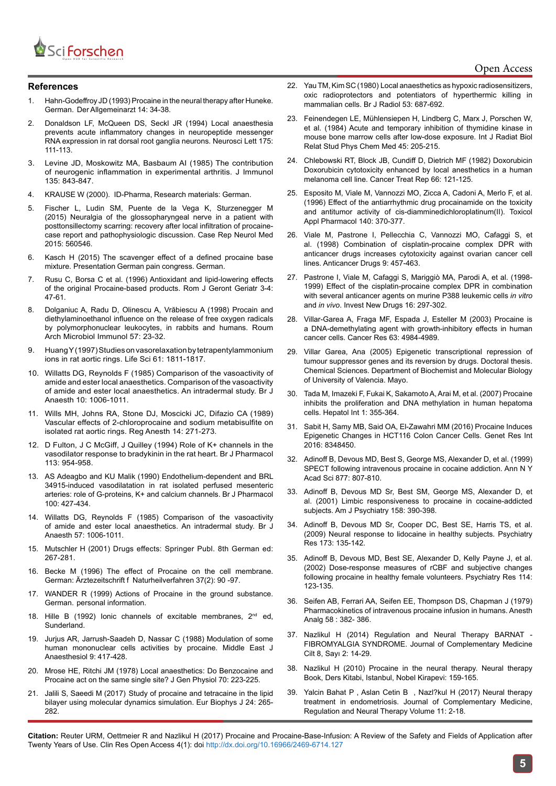

#### **References**

- 1. Hahn-Godeffroy JD (1993) Procaine in the neural therapy after Huneke. German. Der Allgemeinarzt 14: 34-38.
- 2. [Donaldson LF, McQueen DS, Seckl JR \(1994\) Local anaesthesia](https://www.ncbi.nlm.nih.gov/pubmed/7970189)  [prevents acute inflammatory changes in neuropeptide messenger](https://www.ncbi.nlm.nih.gov/pubmed/7970189)  [RNA expression in rat dorsal root ganglia neurons. Neurosci Lett 175:](https://www.ncbi.nlm.nih.gov/pubmed/7970189)  [111-113.](https://www.ncbi.nlm.nih.gov/pubmed/7970189)
- 3. [Levine JD, Moskowitz MA, Basbaum AI \(1985\) The contribution](https://www.ncbi.nlm.nih.gov/pubmed/2409171)  [of neurogenic inflammation in experimental arthritis. J Immunol](https://www.ncbi.nlm.nih.gov/pubmed/2409171)  [135: 843-847.](https://www.ncbi.nlm.nih.gov/pubmed/2409171)
- 4. KRAUSE W (2000). ID-Pharma, Research materials: German.
- 5. [Fischer L, Ludin SM, Puente de la Vega K, Sturzenegger M](https://www.ncbi.nlm.nih.gov/pubmed/?term=Neuralgia+of+the+glossopharyngeal+nerve+in+a+patient+with+posttonsillectomy+scarring%3A+recovery+after+local+infiltration+of+procaine-case+report+and+pathophysiologic+discussion)  [\(2015\) Neuralgia of the glossopharyngeal nerve in a patient with](https://www.ncbi.nlm.nih.gov/pubmed/?term=Neuralgia+of+the+glossopharyngeal+nerve+in+a+patient+with+posttonsillectomy+scarring%3A+recovery+after+local+infiltration+of+procaine-case+report+and+pathophysiologic+discussion)  [posttonsillectomy scarring: recovery after local infiltration of procaine](https://www.ncbi.nlm.nih.gov/pubmed/?term=Neuralgia+of+the+glossopharyngeal+nerve+in+a+patient+with+posttonsillectomy+scarring%3A+recovery+after+local+infiltration+of+procaine-case+report+and+pathophysiologic+discussion)[case report and pathophysiologic discussion. Case Rep Neurol Med](https://www.ncbi.nlm.nih.gov/pubmed/?term=Neuralgia+of+the+glossopharyngeal+nerve+in+a+patient+with+posttonsillectomy+scarring%3A+recovery+after+local+infiltration+of+procaine-case+report+and+pathophysiologic+discussion)  [2015: 560546.](https://www.ncbi.nlm.nih.gov/pubmed/?term=Neuralgia+of+the+glossopharyngeal+nerve+in+a+patient+with+posttonsillectomy+scarring%3A+recovery+after+local+infiltration+of+procaine-case+report+and+pathophysiologic+discussion)
- 6. Kasch H (2015) The scavenger effect of a defined procaine base mixture. Presentation German pain congress. German.
- 7. Rusu C, Borsa C et al. (1996) Antioxidant and lipid-lowering effects of the original Procaine-based products. Rom J Geront Geriatr 3-4: 47-61.
- 8. Dolganiuc A, Radu D, Olinescu A, [Vrăbiescu A \(1998\) Procain and](https://www.ncbi.nlm.nih.gov/pubmed/9745332)  [diethylaminoethanol influence on the release of free oxygen radicals](https://www.ncbi.nlm.nih.gov/pubmed/9745332)  [by polymorphonuclear leukocytes, in rabbits and humans. Roum](https://www.ncbi.nlm.nih.gov/pubmed/9745332)  [Arch Microbiol Immunol 57: 23-32.](https://www.ncbi.nlm.nih.gov/pubmed/9745332)
- 9. [Huang Y \(1997\) Studies on vasorelaxation by tetrapentylammonium](https://www.ncbi.nlm.nih.gov/pubmed/9365228)  [ions in rat aortic rings. Life Sci 61: 1811-1817.](https://www.ncbi.nlm.nih.gov/pubmed/9365228)
- 10. [Willatts DG, Reynolds F \(1985\) Comparison of the vasoactivity of](https://www.ncbi.nlm.nih.gov/pubmed/4041306)  [amide and ester local anaesthetics.](https://www.ncbi.nlm.nih.gov/pubmed/4041306) Comparison of the vasoactivity [of amide and ester local anaesthetics. An intradermal study. Br J](https://www.ncbi.nlm.nih.gov/pubmed/4041306)  [Anaesth 10: 1006-1011.](https://www.ncbi.nlm.nih.gov/pubmed/4041306)
- 11. [Wills MH, Johns RA, Stone DJ, Moscicki JC, Difazio CA \(1989\)](https://www.ncbi.nlm.nih.gov/pubmed/?term=Vascular+effects+of+2-+chloroprocaine+and+sodium+metabisulfite+on+isolated+rat+aortic+rings)  [Vascular effects of 2-chloroprocaine and sodium metabisulfite on](https://www.ncbi.nlm.nih.gov/pubmed/?term=Vascular+effects+of+2-+chloroprocaine+and+sodium+metabisulfite+on+isolated+rat+aortic+rings)  [isolated rat aortic rings. Reg Anesth 14: 271-273.](https://www.ncbi.nlm.nih.gov/pubmed/?term=Vascular+effects+of+2-+chloroprocaine+and+sodium+metabisulfite+on+isolated+rat+aortic+rings)
- 12. [D Fulton, J C McGiff, J Quilley \(1994\) Role of K+ channels in the](https://www.ncbi.nlm.nih.gov/pmc/articles/PMC1510451/)  [vasodilator response to bradykinin in the rat heart. Br J Pharmacol](https://www.ncbi.nlm.nih.gov/pmc/articles/PMC1510451/)  [113: 954-958.](https://www.ncbi.nlm.nih.gov/pmc/articles/PMC1510451/)
- 13. AS Adeagbo and KU Malik (1990) [Endothelium-dependent and BRL](https://www.ncbi.nlm.nih.gov/pmc/articles/PMC1917779/)  [34915-induced vasodilatation in rat isolated perfused mesenteric](https://www.ncbi.nlm.nih.gov/pmc/articles/PMC1917779/)  [arteries: role of G-proteins, K+ and calcium channels.](https://www.ncbi.nlm.nih.gov/pmc/articles/PMC1917779/) Br J Pharmacol 100: [427-434.](https://www.ncbi.nlm.nih.gov/pmc/articles/PMC1917779/)
- 14. [Willatts DG, Reynolds F \(1985\)](https://www.ncbi.nlm.nih.gov/pubmed/4041306) Comparison of the vasoactivity [of amide and ester local anaesthetics. An intradermal study. Br J](https://www.ncbi.nlm.nih.gov/pubmed/4041306)  [Anaesth 57:](https://www.ncbi.nlm.nih.gov/pubmed/4041306) 1006-1011.
- 15. Mutschler H (2001) Drugs effects: Springer Publ. 8th German ed: 267-281.
- 16. Becke M (1996) The effect of Procaine on the cell membrane. German: Ärztezeitschrift f Naturheilverfahren 37(2): 90 -97.
- 17. WANDER R (1999) Actions of Procaine in the ground substance. German. personal information.
- 18. Hille B (1992) Ionic channels of excitable membranes, 2<sup>nd</sup> ed, Sunderland.
- 19. [Jurjus AR, Jarrush-Saadeh D, Nassar C \(1988\)](https://www.ncbi.nlm.nih.gov/pubmed/3264047) Modulation of some [human mononuclear cells activities by procaine. Middle East J](https://www.ncbi.nlm.nih.gov/pubmed/3264047)  [Anaesthesiol 9:](https://www.ncbi.nlm.nih.gov/pubmed/3264047) 417-428.
- 20. Mrose HE, Ritchi JM (1978) Local anaesthetics: Do Benzocaine and Procaine act on the same single site? J Gen Physiol 70: 223-225.
- 21. Jalili S, Saeedi M (2017) [Study of procaine and tetracaine in the lipid](https://www.ncbi.nlm.nih.gov/pubmed/27557558)  [bilayer using molecular dynamics simulation.](https://www.ncbi.nlm.nih.gov/pubmed/27557558) Eur Biophys J 24: 265- [282.](https://www.ncbi.nlm.nih.gov/pubmed/27557558)
- 22. Yau TM, Kim SC (1980) [Local anaesthetics as hypoxic radiosensitizers,](https://www.ncbi.nlm.nih.gov/pubmed/7426891) [oxic radioprotectors and potentiators of hyperthermic killing in](https://www.ncbi.nlm.nih.gov/pubmed/7426891) [mammalian cells. Br J Radiol 53: 687-692.](https://www.ncbi.nlm.nih.gov/pubmed/7426891)
- 23. [Feinendegen LE, Mühlensiepen H, Lindberg C, Marx J, Porschen W,](https://www.ncbi.nlm.nih.gov/pubmed/6370884) [et al. \(1984\) Acute and temporary inhibition of thymidine kinase in](https://www.ncbi.nlm.nih.gov/pubmed/6370884) [mouse bone marrow cells after low-dose exposure. Int J Radiat Biol](https://www.ncbi.nlm.nih.gov/pubmed/6370884) [Relat Stud Phys Chem Med 45: 205-215.](https://www.ncbi.nlm.nih.gov/pubmed/6370884)
- 24. [Chlebowski RT, Block JB, Cundiff D, Dietrich MF \(1982\) Doxorubicin](https://www.ncbi.nlm.nih.gov/pubmed/7053248) [Doxorubicin cytotoxicity enhanced by local anesthetics in a human](https://www.ncbi.nlm.nih.gov/pubmed/7053248) [melanoma cell line. Cancer Treat Rep 66: 121-125.](https://www.ncbi.nlm.nih.gov/pubmed/7053248)
- 25. [Esposito M, Viale M, Vannozzi MO, Zicca A, Cadoni A, Merlo F, et al.](https://www.ncbi.nlm.nih.gov/pubmed/8887454) [\(1996\) Effect of the antiarrhythmic drug procainamide on the toxicity](https://www.ncbi.nlm.nih.gov/pubmed/8887454) [and antitumor activity of cis-diamminedichloroplatinum\(II\). Toxicol](https://www.ncbi.nlm.nih.gov/pubmed/8887454) [Appl Pharmacol 140: 370-377.](https://www.ncbi.nlm.nih.gov/pubmed/8887454)
- 26. [Viale M, Pastrone I, Pellecchia C, Vannozzi MO, Cafaggi S, et](https://www.ncbi.nlm.nih.gov/pubmed/9660544) [al. \(1998\) Combination of cisplatin-procaine complex DPR with](https://www.ncbi.nlm.nih.gov/pubmed/9660544) [anticancer drugs increases cytotoxicity against ovarian cancer cell](https://www.ncbi.nlm.nih.gov/pubmed/9660544) [lines. Anticancer Drugs 9:](https://www.ncbi.nlm.nih.gov/pubmed/9660544) 457-463.
- 27. [Pastrone I, Viale M, Cafaggi S, Mariggiò MA, Parodi A, et al. \(1998-](https://www.ncbi.nlm.nih.gov/pubmed/10426661) [1999\) Effect of the cisplatin-procaine complex DPR in combination](https://www.ncbi.nlm.nih.gov/pubmed/10426661) [with several anticancer agents on murine P388 leukemic cells](https://www.ncbi.nlm.nih.gov/pubmed/10426661) *in vitro* and *in vivo*[. Invest New Drugs 16: 297-302.](https://www.ncbi.nlm.nih.gov/pubmed/10426661)
- 28. [Villar-Garea A, Fraga MF, Espada J, Esteller M \(2003\) Procaine is](https://www.ncbi.nlm.nih.gov/pubmed/12941824) [a DNA-demethylating agent with growth-inhibitory effects in human](https://www.ncbi.nlm.nih.gov/pubmed/12941824) [cancer cells. Cancer Res 63: 4984-4989.](https://www.ncbi.nlm.nih.gov/pubmed/12941824)
- 29. [Villar Garea, Ana \(2005\) Epigenetic transcriptional repression of](http://roderic.uv.es/handle/10550/15125) [tumour suppressor genes and its reversion by drugs. Doctoral thesis.](http://roderic.uv.es/handle/10550/15125) [Chemical Sciences. Department of Biochemist and Molecular Biology](http://roderic.uv.es/handle/10550/15125) [of University of Valencia. Mayo.](http://roderic.uv.es/handle/10550/15125)
- 30. [Tada M, Imazeki F, Fukai K, Sakamoto A, Arai M, et al. \(2007\) Procaine](https://www.ncbi.nlm.nih.gov/pubmed/19669330) [inhibits the proliferation and DNA methylation in human hepatoma](https://www.ncbi.nlm.nih.gov/pubmed/19669330) [cells. Hepatol Int 1: 355-364.](https://www.ncbi.nlm.nih.gov/pubmed/19669330)
- 31. [Sabit H, Samy MB, Said OA, El-Zawahri MM \(2016\) Procaine Induces](https://www.ncbi.nlm.nih.gov/pubmed/?term=Procaine+Induces+Epigenetic+Changes+in+HCT116+Colon+Cancer+Cells) [Epigenetic Changes in HCT116 Colon Cancer Cells. Genet Res Int](https://www.ncbi.nlm.nih.gov/pubmed/?term=Procaine+Induces+Epigenetic+Changes+in+HCT116+Colon+Cancer+Cells) [2016: 8348450.](https://www.ncbi.nlm.nih.gov/pubmed/?term=Procaine+Induces+Epigenetic+Changes+in+HCT116+Colon+Cancer+Cells)
- 32. [Adinoff B, Devous MD, Best S, George MS, Alexander D, et al. \(1999\)](https://www.ncbi.nlm.nih.gov/pubmed/10415710) [SPECT following intravenous procaine in cocaine addiction. Ann N Y](https://www.ncbi.nlm.nih.gov/pubmed/10415710) Acad Sci [877: 807-810.](https://www.ncbi.nlm.nih.gov/pubmed/10415710)
- 33. [Adinoff B, Devous MD Sr, Best SM, George MS, Alexander D, et](https://www.ncbi.nlm.nih.gov/pubmed/11229979) [al. \(2001\) Limbic responsiveness to procaine in cocaine-addicted](https://www.ncbi.nlm.nih.gov/pubmed/11229979) [subjects. Am J Psychiatry 158: 390-398.](https://www.ncbi.nlm.nih.gov/pubmed/11229979)
- 34. [Adinoff B, Devous MD Sr, Cooper DC, Best SE, Harris TS, et al.](https://www.ncbi.nlm.nih.gov/pubmed/19560905) [\(2009\) Neural response to lidocaine in healthy subjects. Psychiatry](https://www.ncbi.nlm.nih.gov/pubmed/19560905) [Res 173: 135-142.](https://www.ncbi.nlm.nih.gov/pubmed/19560905)
- 35. [Adinoff B, Devous MD, Best SE, Alexander D, Kelly Payne J, et al.](https://www.ncbi.nlm.nih.gov/pubmed/?term=Dose-response+measures+of+rCBF+and+subjective+changes+following+procaine+in+healthy+female+volunteers) [\(2002\) Dose-response measures of rCBF and subjective changes](https://www.ncbi.nlm.nih.gov/pubmed/?term=Dose-response+measures+of+rCBF+and+subjective+changes+following+procaine+in+healthy+female+volunteers) [following procaine in healthy female volunteers. Psychiatry Res 114:](https://www.ncbi.nlm.nih.gov/pubmed/?term=Dose-response+measures+of+rCBF+and+subjective+changes+following+procaine+in+healthy+female+volunteers) [123-135.](https://www.ncbi.nlm.nih.gov/pubmed/?term=Dose-response+measures+of+rCBF+and+subjective+changes+following+procaine+in+healthy+female+volunteers)
- 36. [Seifen AB, Ferrari AA, Seifen EE, Thompson DS, Chapman J \(1979\)](https://www.ncbi.nlm.nih.gov/pubmed/573562) [Pharmacokinetics of intravenous procaine infusion in humans. Anesth](https://www.ncbi.nlm.nih.gov/pubmed/573562) [Analg 58 : 382- 386.](https://www.ncbi.nlm.nih.gov/pubmed/573562)
- 37. Nazlikul H (2014) Regulation and Neural Therapy BARNAT FIBROMYALGIA SYNDROME. Journal of Complementary Medicine Cilt 8, Sayı 2: 14-29.
- 38. Nazlikul H (2010) Procaine in the neural therapy. Neural therapy Book, Ders Kitabi, Istanbul, Nobel Kirapevi: 159-165.
- 39. Yalcin Bahat P , Aslan Cetin B , Nazl?kul H (2017) Neural therapy treatment in endometriosis. Journal of Complementary Medicine, Regulation and Neural Therapy Volume 11: 2-18.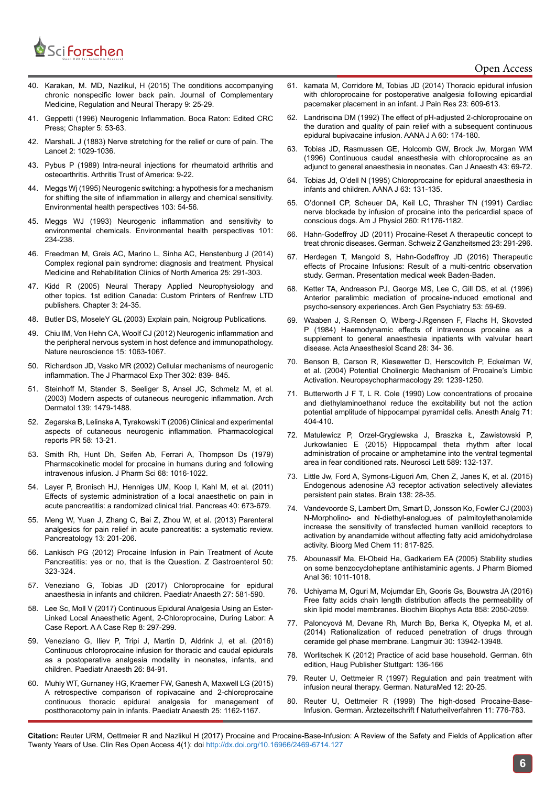

- 40. Karakan, M. MD, Nazlikul, H (2015) The conditions accompanying chronic nonspecific lower back pain. Journal of Complementary Medicine, Regulation and Neural Therapy 9: 25-29.
- 41. Geppetti (1996) Neurogenic Inflammation. Boca Raton: Edited CRC Press; Chapter 5: 53-63.
- 42. MarshalL J (1883) Nerve stretching for the relief or cure of pain. The Lancet 2: 1029-1036.
- 43. Pybus P (1989) Intra-neural injections for rheumatoid arthritis and osteoarthritis. Arthritis Trust of America: 9-22.
- 44. [Meggs Wj \(1995\) Neurogenic switching: a hypothesis for a mechanism](https://www.ncbi.nlm.nih.gov/pmc/articles/PMC1519059/)  for shifting the site of [inflammation in allergy and chemical sensitivity.](https://www.ncbi.nlm.nih.gov/pmc/articles/PMC1519059/)  [Environmental health perspectives 103: 54-56.](https://www.ncbi.nlm.nih.gov/pmc/articles/PMC1519059/)
- 45. Meggs [WJ \(1993\) Neurogenic inflammation and sensitivity to](https://www.ncbi.nlm.nih.gov/pubmed/8404760)  environmental [chemicals. Environmental health perspectives 101:](https://www.ncbi.nlm.nih.gov/pubmed/8404760)  [234-238.](https://www.ncbi.nlm.nih.gov/pubmed/8404760)
- 46. [Freedman M, Greis AC, Marino L, Sinha AC, Henstenburg J \(2014\)](https://www.ncbi.nlm.nih.gov/pubmed/24787334)  [Complex regional pain syndrome: diagnosis and treatment. Physical](https://www.ncbi.nlm.nih.gov/pubmed/24787334)  [Medicine and Rehabilitation Clinics of North America 25: 291-303.](https://www.ncbi.nlm.nih.gov/pubmed/24787334)
- 47. Kidd R (2005) Neural Therapy Applied Neurophysiology and other topics. 1st edition Canada: Custom Printers of Renfrew LTD publishers. Chapter 3: 24-35.
- 48. Butler DS, MoseleY GL (2003) Explain pain, Noigroup Publications.
- 49. Chiu [IM, Von Hehn CA, Woolf CJ \(2012\) Neurogenic inflammation and](https://www.ncbi.nlm.nih.gov/pubmed/22837035)  the [peripheral nervous system in host defence and immunopathology.](https://www.ncbi.nlm.nih.gov/pubmed/22837035)  [Nature neuroscience](https://www.ncbi.nlm.nih.gov/pubmed/22837035) 15: 1063-1067.
- 50. [Richardson JD, Vasko MR \(2002\) Cellular mechanisms of neurogenic](https://www.ncbi.nlm.nih.gov/pubmed/12183638) [inflammation. The J Pharmacol Exp Ther 302: 839- 845.](https://www.ncbi.nlm.nih.gov/pubmed/12183638)
- 51. [Steinhoff M, Stander S, Seeliger S, Ansel JC, Schmelz M, et al.](https://www.ncbi.nlm.nih.gov/pubmed/14623709)  (2003) Modern aspects of [cutaneous neurogenic inflammation. Arch](https://www.ncbi.nlm.nih.gov/pubmed/14623709)  [Dermatol 139: 1479-1488.](https://www.ncbi.nlm.nih.gov/pubmed/14623709)
- 52. Zegarska B, Lelinska A, Tyrakowski T (2006) Clinical and experimental aspects of cutaneous neurogenic inflammation. Pharmacological reports PR 58: 13-21.
- 53. [Smith Rh, Hunt Dh, Seifen Ab, Ferrari A, Thompson Ds \(1979\)](https://www.ncbi.nlm.nih.gov/pubmed/480155)  [Pharmacokinetic model for procaine in humans during and following](https://www.ncbi.nlm.nih.gov/pubmed/480155)  [intravenous infusion. J Pharm Sci 68: 1016-1022.](https://www.ncbi.nlm.nih.gov/pubmed/480155)
- 54. [Layer P, Bronisch HJ, Henniges UM, Koop I, Kahl M, et al. \(2011\)](https://www.ncbi.nlm.nih.gov/pubmed/21562445)  [Effects of systemic administration of a local](https://www.ncbi.nlm.nih.gov/pubmed/21562445) anaesthetic on pain in [acute pancreatitis: a randomized clinical trial. Pancreas 40:](https://www.ncbi.nlm.nih.gov/pubmed/21562445) 673-679.
- 55. [Meng W, Yuan J, Zhang C, Bai Z, Zhou W, et al. \(2013\) Parenteral](https://www.ncbi.nlm.nih.gov/pubmed/23719588) [analgesics for pain relief in acute pancreatitis: a systematic review.](https://www.ncbi.nlm.nih.gov/pubmed/23719588)  [Pancreatology 13: 201-206.](https://www.ncbi.nlm.nih.gov/pubmed/23719588)
- 56. Lankisch PG (2012) Procaine Infusion in Pain Treatment of Acute Pancreatitis: yes or no, that is the Question. Z Gastroenterol 50: 323-324.
- 57. [Veneziano G, Tobias JD \(2017\) Chloroprocaine for epidural](https://www.ncbi.nlm.nih.gov/pubmed/28321983)  [anaesthesia in infants and children. Paediatr Anaesth 27: 581-590.](https://www.ncbi.nlm.nih.gov/pubmed/28321983)
- 58. [Lee Sc, Moll V \(2017\) Continuous Epidural Analgesia Using an Ester-](https://www.ncbi.nlm.nih.gov/pubmed/28306579)Linked Local [Anaesthetic Agent, 2-Chloroprocaine, During Labor: A](https://www.ncbi.nlm.nih.gov/pubmed/28306579)  [Case Report. A A Case Rep 8: 297-299.](https://www.ncbi.nlm.nih.gov/pubmed/28306579)
- 59. [Veneziano G, Iliev P, Tripi J, Martin D, Aldrink J, et al. \(2016\)](https://www.ncbi.nlm.nih.gov/pubmed/26530835)  [Continuous chloroprocaine infusion for thoracic and caudal epidurals](https://www.ncbi.nlm.nih.gov/pubmed/26530835)  as a [postoperative analgesia modality in neonates, infants, and](https://www.ncbi.nlm.nih.gov/pubmed/26530835)  [children. Paediatr Anaesth 26: 84-91.](https://www.ncbi.nlm.nih.gov/pubmed/26530835)
- 60. [Muhly WT, Gurnaney HG, Kraemer FW, Ganesh A, Maxwell LG \(2015\)](https://www.ncbi.nlm.nih.gov/pubmed/26306545)  [A retrospective comparison of ropivacaine and 2-chloroprocaine](https://www.ncbi.nlm.nih.gov/pubmed/26306545)  [continuous thoracic epidural analgesia for management of](https://www.ncbi.nlm.nih.gov/pubmed/26306545) [postthoracotomy pain in infants. Paediatr Anaesth 25: 1162-1167.](https://www.ncbi.nlm.nih.gov/pubmed/26306545)
- 61. [kamata M, Corridore M, Tobias JD \(2014\) Thoracic epidural infusion](https://www.ncbi.nlm.nih.gov/pubmed/25364272) [with chloroprocaine for postoperative analgesia following epicardial](https://www.ncbi.nlm.nih.gov/pubmed/25364272) pacemaker placement [in an infant. J Pain Res 23: 609-613.](https://www.ncbi.nlm.nih.gov/pubmed/25364272)
- 62. [Landriscina DM \(1992\) The effect of pH-adjusted 2-chloroprocaine on](https://www.ncbi.nlm.nih.gov/pubmed/1414179) the [duration and quality of pain relief with a subsequent continuous](https://www.ncbi.nlm.nih.gov/pubmed/1414179) epidural bupivacaine [infusion. AANA J A 60: 174-180.](https://www.ncbi.nlm.nih.gov/pubmed/1414179)
- 63. [Tobias JD, Rasmussen GE, Holcomb GW, Brock Jw, Morgan WM](https://www.ncbi.nlm.nih.gov/pubmed/8665639) [\(1996\) Continuous caudal anaesthesia with chloroprocaine as an](https://www.ncbi.nlm.nih.gov/pubmed/8665639) adjunct to general [anaesthesia in neonates. Can J Anaesth 43: 69-72.](https://www.ncbi.nlm.nih.gov/pubmed/8665639)
- [Tobias Jd, O'dell N \(1995\) Chloroprocaine for epidural anaesthesia in](https://www.ncbi.nlm.nih.gov/pubmed/7740909) [infants and children. AANA J 63: 131-135.](https://www.ncbi.nlm.nih.gov/pubmed/7740909)
- 65. [O'donnell CP, Scheuer DA, Keil LC, Thrasher TN \(1991\) Cardiac](https://www.ncbi.nlm.nih.gov/pubmed/1647701) nerve [blockade by infusion of procaine into the pericardial space of](https://www.ncbi.nlm.nih.gov/pubmed/1647701) [conscious dogs. Am J Physiol 260: R1176-1182.](https://www.ncbi.nlm.nih.gov/pubmed/1647701)
- 66. Hahn-Godeffroy JD (2011) Procaine-Reset A therapeutic concept to treat chronic diseases. German. Schweiz Z Ganzheitsmed 23: 291-296.
- 67. Herdegen T, Mangold S, Hahn-Godeffroy JD (2016) Therapeutic effects of Procaine Infusions: Result of a multi-centric observation study. German. Presentation medical week Baden-Baden.
- 68. [Ketter TA, Andreason PJ, George MS, Lee C, Gill DS, et al. \(1996\)](https://www.ncbi.nlm.nih.gov/pubmed/8540778) [Anterior paralimbic mediation of procaine-induced emotional and](https://www.ncbi.nlm.nih.gov/pubmed/8540778) [psycho-sensory experiences. Arch Gen Psychiatry 53: 59-69.](https://www.ncbi.nlm.nih.gov/pubmed/8540778)
- 69. [Waaben J, S.Rensen O, Wiberg-J.Rgensen F, Flachs H, Skovsted](https://www.ncbi.nlm.nih.gov/pubmed/6711260) [P \(1984\) Haemodynamic effects of intravenous procaine as a](https://www.ncbi.nlm.nih.gov/pubmed/6711260) supplement to general [anaesthesia inpatients with valvular heart](https://www.ncbi.nlm.nih.gov/pubmed/6711260) [disease. Acta Anaesthesiol Scand 28: 34- 36.](https://www.ncbi.nlm.nih.gov/pubmed/6711260)
- 70. [Benson B, Carson R, Kiesewetter D, Herscovitch P, Eckelman W,](https://www.nature.com/articles/1300404) [et al. \(2004\) Potential Cholinergic Mechanism of Procaine's Limbic](https://www.nature.com/articles/1300404) [Activation. Neuropsychopharmacology 29: 1239-1250.](https://www.nature.com/articles/1300404)
- 71. [Butterworth J F T, L R. Cole \(1990\) Low concentrations of procaine](https://www.ncbi.nlm.nih.gov/pubmed/2400120) [and diethylaminoethanol reduce the excitability but not the action](https://www.ncbi.nlm.nih.gov/pubmed/2400120) [potential amplitude of hippocampal pyramidal cells. Anesth Analg 71:](https://www.ncbi.nlm.nih.gov/pubmed/2400120) [404-410.](https://www.ncbi.nlm.nih.gov/pubmed/2400120)
- 72. [Matulewicz P, Orzeł-Gryglewska J, Braszka Ł, Zawistowski P,](https://www.ncbi.nlm.nih.gov/pubmed/25617477) [Jurkowlaniec E \(2015\) Hippocampal theta rhythm after local](https://www.ncbi.nlm.nih.gov/pubmed/25617477) [administration of procaine or amphetamine into the ventral tegmental](https://www.ncbi.nlm.nih.gov/pubmed/25617477) [area in fear conditioned rats. Neurosci Lett 589: 132-137.](https://www.ncbi.nlm.nih.gov/pubmed/25617477)
- 73. [Little Jw, Ford A, Symons-Liguori Am, Chen Z, Janes K, et al. \(2015\)](https://www.ncbi.nlm.nih.gov/pubmed/25414036) [Endogenous adenosine A3 receptor activation selectively alleviates](https://www.ncbi.nlm.nih.gov/pubmed/25414036) [persistent pain states. Brain 138: 28-35.](https://www.ncbi.nlm.nih.gov/pubmed/25414036)
- 74. [Vandevoorde S, Lambert Dm, Smart D, Jonsson Ko, Fowler CJ \(2003\)](http://www.sciencedirect.com/science/article/pii/S0968089602005679) [N-Morpholino- and N-diethyl-analogues of palmitoylethanolamide](http://www.sciencedirect.com/science/article/pii/S0968089602005679) increase the [sensitivity of transfected human vanilloid receptors to](http://www.sciencedirect.com/science/article/pii/S0968089602005679) activation by anandamide without [affecting fatty acid amidohydrolase](http://www.sciencedirect.com/science/article/pii/S0968089602005679) [activity. Bioorg Med Chem 11: 817-825.](http://www.sciencedirect.com/science/article/pii/S0968089602005679)
- 75. [Abounassif Ma, El-Obeid Ha, Gadkariem EA \(2005\) Stability studies](https://www.ncbi.nlm.nih.gov/pubmed/15620527) [on some benzocycloheptane antihistaminic agents. J Pharm Biomed](https://www.ncbi.nlm.nih.gov/pubmed/15620527) [Anal 36: 1011-1018.](https://www.ncbi.nlm.nih.gov/pubmed/15620527)
- 76. [Uchiyama M, Oguri M, Mojumdar Eh, Gooris Gs, Bouwstra JA \(2016\)](https://www.ncbi.nlm.nih.gov/pubmed/27287726) [Free fatty acids chain length distribution affects the permeability of](https://www.ncbi.nlm.nih.gov/pubmed/27287726) skin lipid model [membranes. Biochim Biophys Acta 858: 2050-2059.](https://www.ncbi.nlm.nih.gov/pubmed/27287726)
- 77. [Paloncyová M, Devane Rh, Murch Bp, Berka K, Otyepka M, et al.](http://pubs.acs.org/doi/abs/10.1021/la503289v) [\(2014\) Rationalization of reduced penetration of drugs through](http://pubs.acs.org/doi/abs/10.1021/la503289v) [ceramide gel phase membrane. Langmuir 30: 13942-13948.](http://pubs.acs.org/doi/abs/10.1021/la503289v)
- 78. Worlitschek K (2012) Practice of acid base household. German. 6th edition, Haug Publisher Stuttgart: 136-166
- 79. Reuter U, Oettmeier R (1997) Regulation and pain treatment with infusion neural therapy. German. NaturaMed 12: 20-25.
- 80. Reuter U, Oettmeier R (1999) The high-dosed Procaine-Base-Infusion. German. Ärztezeitschrift f Naturheilverfahren 11: 776-783.